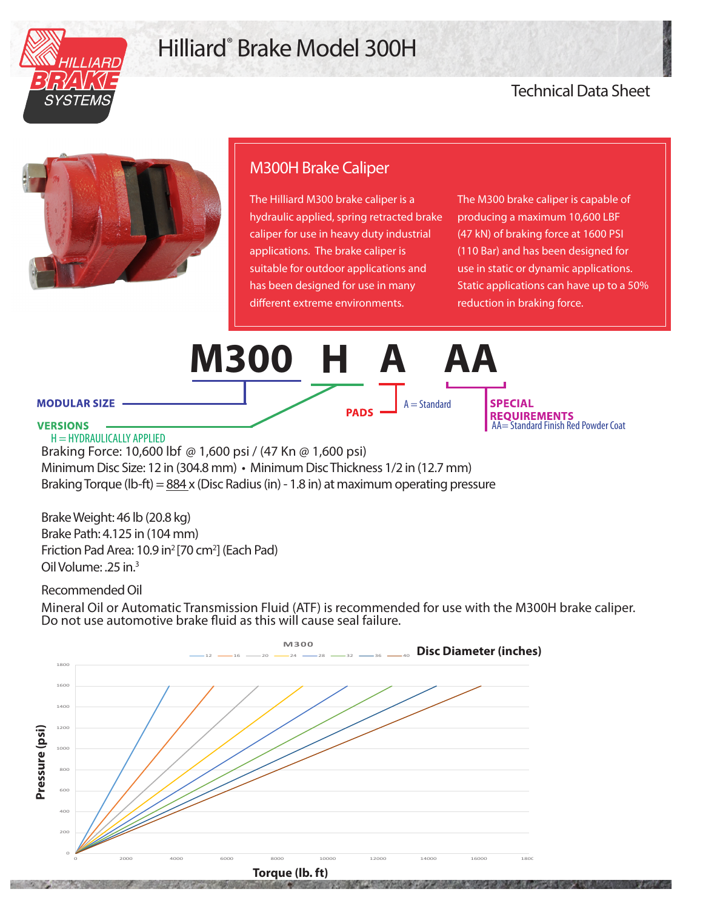

## Hilliard® Brake Model 300H

## Technical Data Sheet



## M300H Brake Caliper

The Hilliard M300 brake caliper is a hydraulic applied, spring retracted brake caliper for use in heavy duty industrial applications. The brake caliper is suitable for outdoor applications and has been designed for use in many different extreme environments.

The M300 brake caliper is capable of producing a maximum 10,600 LBF (47 kN) of braking force at 1600 PSI (110 Bar) and has been designed for use in static or dynamic applications. Static applications can have up to a 50% reduction in braking force.



Brake Weight: 46 lb (20.8 kg) Brake Path: 4.125 in (104 mm) Friction Pad Area: 10.9 in<sup>2</sup> [70 cm<sup>2</sup>] (Each Pad) Oil Volume: .25 in.3

Recommended Oil

Mineral Oil or Automatic Transmission Fluid (ATF) is recommended for use with the M300H brake caliper. Do not use automotive brake fluid as this will cause seal failure.